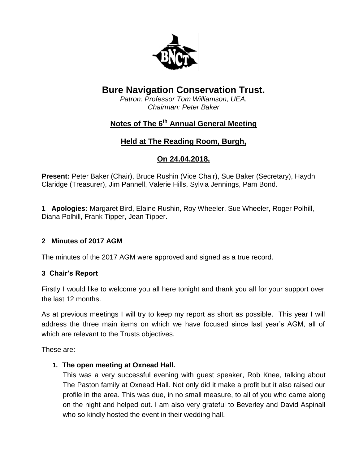

# **Bure Navigation Conservation Trust.**

*Patron: Professor Tom Williamson, UEA. Chairman: Peter Baker*

# **Notes of The 6th Annual General Meeting**

# **Held at The Reading Room, Burgh,**

# **On 24.04.2018.**

**Present:** Peter Baker (Chair), Bruce Rushin (Vice Chair), Sue Baker (Secretary), Haydn Claridge (Treasurer), Jim Pannell, Valerie Hills, Sylvia Jennings, Pam Bond.

**1 Apologies:** Margaret Bird, Elaine Rushin, Roy Wheeler, Sue Wheeler, Roger Polhill, Diana Polhill, Frank Tipper, Jean Tipper.

### **2 Minutes of 2017 AGM**

The minutes of the 2017 AGM were approved and signed as a true record.

### **3 Chair's Report**

Firstly I would like to welcome you all here tonight and thank you all for your support over the last 12 months.

As at previous meetings I will try to keep my report as short as possible. This year I will address the three main items on which we have focused since last year's AGM, all of which are relevant to the Trusts objectives.

These are:-

### **1. The open meeting at Oxnead Hall.**

This was a very successful evening with guest speaker, Rob Knee, talking about The Paston family at Oxnead Hall. Not only did it make a profit but it also raised our profile in the area. This was due, in no small measure, to all of you who came along on the night and helped out. I am also very grateful to Beverley and David Aspinall who so kindly hosted the event in their wedding hall.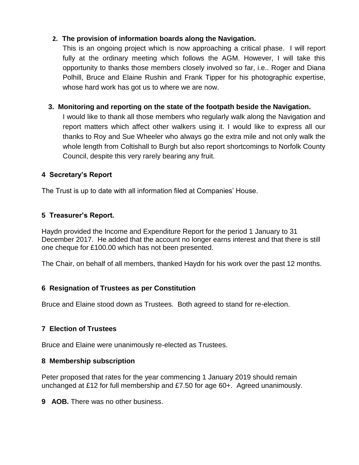# **2. The provision of information boards along the Navigation.**

This is an ongoing project which is now approaching a critical phase. I will report fully at the ordinary meeting which follows the AGM. However, I will take this opportunity to thanks those members closely involved so far, i.e.. Roger and Diana Polhill, Bruce and Elaine Rushin and Frank Tipper for his photographic expertise, whose hard work has got us to where we are now.

# **3. Monitoring and reporting on the state of the footpath beside the Navigation.**

I would like to thank all those members who regularly walk along the Navigation and report matters which affect other walkers using it. I would like to express all our thanks to Roy and Sue Wheeler who always go the extra mile and not only walk the whole length from Coltishall to Burgh but also report shortcomings to Norfolk County Council, despite this very rarely bearing any fruit.

### **4 Secretary's Report**

The Trust is up to date with all information filed at Companies' House.

### **5 Treasurer's Report.**

Haydn provided the Income and Expenditure Report for the period 1 January to 31 December 2017. He added that the account no longer earns interest and that there is still one cheque for £100.00 which has not been presented.

The Chair, on behalf of all members, thanked Haydn for his work over the past 12 months.

### **6 Resignation of Trustees as per Constitution**

Bruce and Elaine stood down as Trustees. Both agreed to stand for re-election.

### **7 Election of Trustees**

Bruce and Elaine were unanimously re-elected as Trustees.

#### **8 Membership subscription**

Peter proposed that rates for the year commencing 1 January 2019 should remain unchanged at £12 for full membership and £7.50 for age 60+. Agreed unanimously.

**9 AOB.** There was no other business.